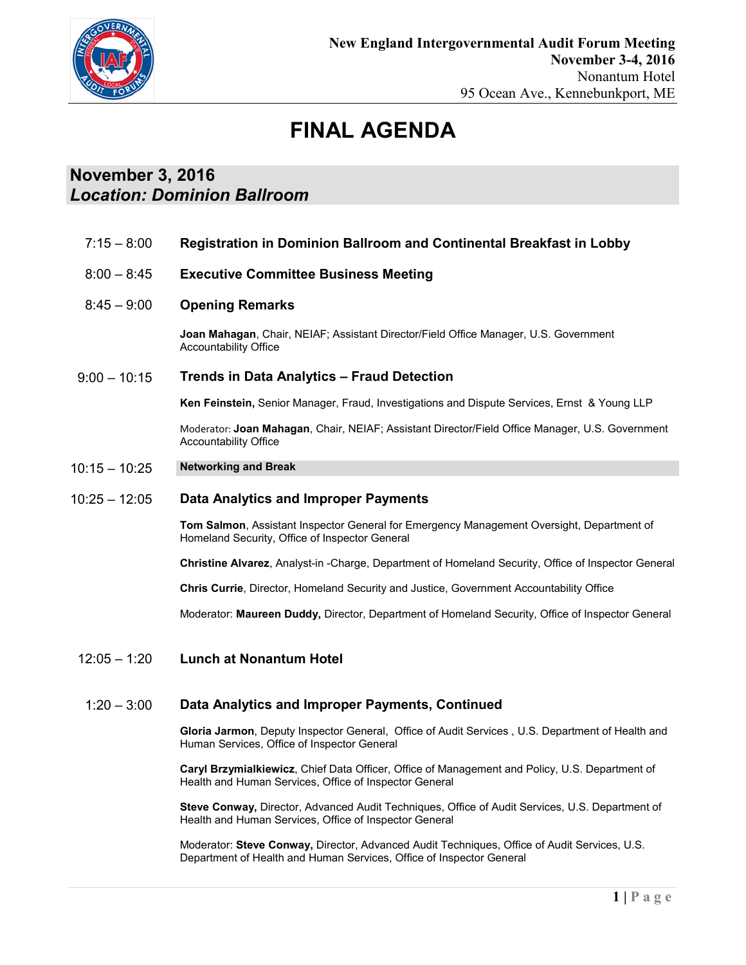

# **FINAL AGENDA**

## **November 3, 2016** *Location: Dominion Ballroom*

7:15 – 8:00 **Registration in Dominion Ballroom and Continental Breakfast in Lobby**  $8:00 - 8:45$  $8:45 - 9:00$  $9:00 - 10:15$ **Executive Committee Business Meeting Opening Remarks Joan Mahagan**, Chair, NEIAF; Assistant Director/Field Office Manager, U.S. Government Accountability Office **Trends in Data Analytics – Fraud Detection Ken Feinstein,** Senior Manager, Fraud, Investigations and Dispute Services, Ernst & Young LLP Moderator: **Joan Mahagan**, Chair, NEIAF; Assistant Director/Field Office Manager, U.S. Government Accountability Office 10:15 – 10:25 **Networking and Break**  $10:25 - 12:05$ 12:05 – 1:20 **Data Analytics and Improper Payments Tom Salmon**, Assistant Inspector General for Emergency Management Oversight, Department of Homeland Security, Office of Inspector General **Christine Alvarez**, Analyst-in -Charge, Department of Homeland Security, Office of Inspector General **Chris Currie**, Director, Homeland Security and Justice, Government Accountability Office Moderator: **Maureen Duddy,** Director, Department of Homeland Security, Office of Inspector General **Lunch at Nonantum Hotel**  1:20 – 3:00 **Data Analytics and Improper Payments, Continued Gloria Jarmon**, Deputy Inspector General, Office of Audit Services , U.S. Department of Health and Human Services, Office of Inspector General **Caryl Brzymialkiewicz**, Chief Data Officer, Office of Management and Policy, U.S. Department of Health and Human Services, Office of Inspector General **Steve Conway,** Director, Advanced Audit Techniques, Office of Audit Services, U.S. Department of

> Moderator: **Steve Conway,** Director, Advanced Audit Techniques, Office of Audit Services, U.S. Department of Health and Human Services, Office of Inspector General

Health and Human Services, Office of Inspector General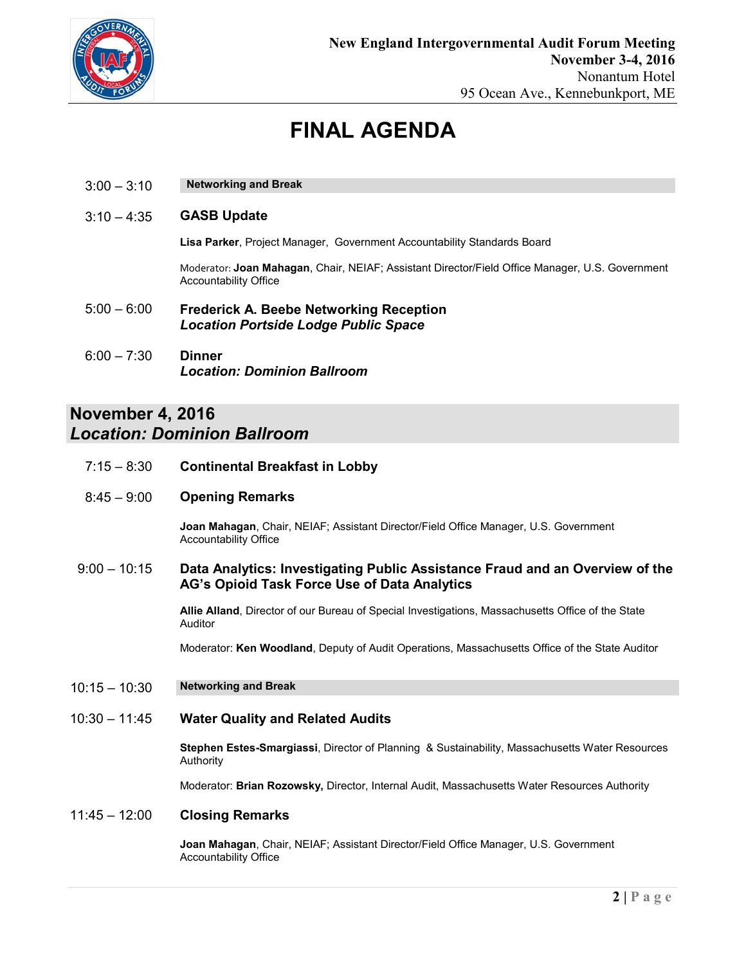

## **FINAL AGENDA**

 $3:00 - 3:10$ **Networking and Break** 

#### $3:10 - 4:35$ **GASB Update**

**Lisa Parker**, Project Manager, Government Accountability Standards Board

Moderator: **Joan Mahagan**, Chair, NEIAF; Assistant Director/Field Office Manager, U.S. Government Accountability Office

- 5:00 6:00 **Frederick A. Beebe Networking Reception** *Location Portside Lodge Public Space*
- 6:00 7:30 **Dinner** *Location: Dominion Ballroom*

## **November 4, 2016** *Location: Dominion Ballroom*

- 7:15 8:30 **Continental Breakfast in Lobby**
- 8:45 9:00 **Opening Remarks**

**Joan Mahagan**, Chair, NEIAF; Assistant Director/Field Office Manager, U.S. Government Accountability Office

9:00 – 10:15 **Data Analytics: Investigating Public Assistance Fraud and an Overview of the AG's Opioid Task Force Use of Data Analytics** 

> **Allie Alland**, Director of our Bureau of Special Investigations, Massachusetts Office of the State Auditor

Moderator: **Ken Woodland**, Deputy of Audit Operations, Massachusetts Office of the State Auditor

10:15 – 10:30 **Networking and Break**

#### 10:30 – 11:45 **Water Quality and Related Audits**

**Stephen Estes-Smargiassi**, Director of Planning & Sustainability, Massachusetts Water Resources Authority

Moderator: **Brian Rozowsky,** Director, Internal Audit, Massachusetts Water Resources Authority

### 11:45 – 12:00 **Closing Remarks**

**Joan Mahagan**, Chair, NEIAF; Assistant Director/Field Office Manager, U.S. Government Accountability Office